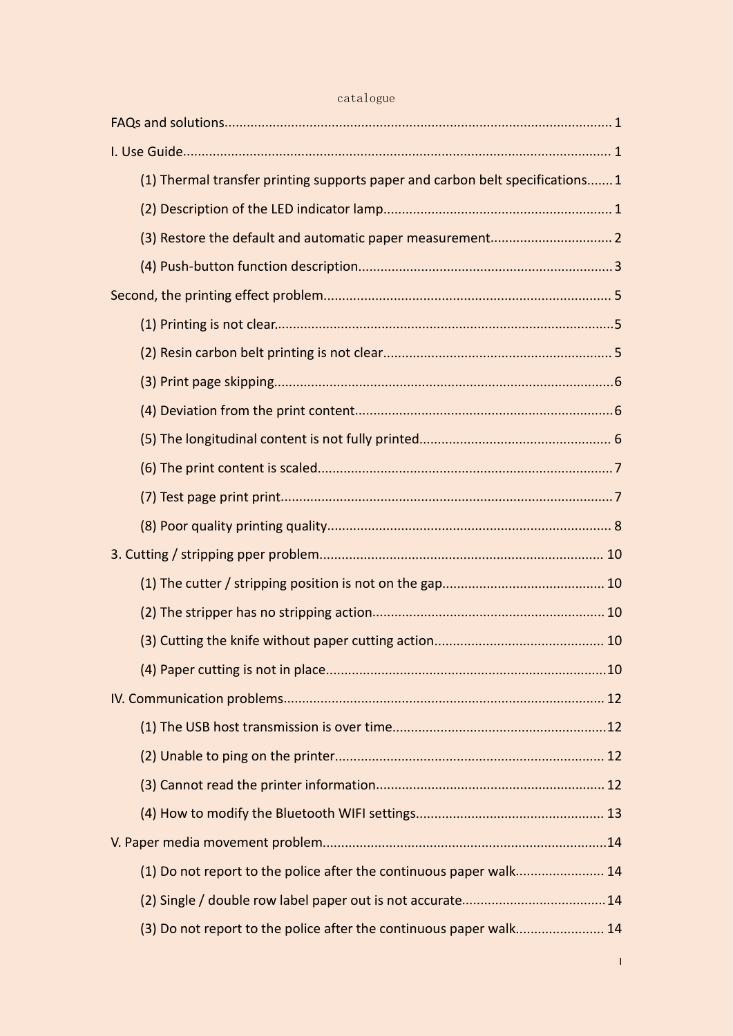|  | (1) Thermal transfer printing supports paper and carbon belt specifications 1 |  |
|--|-------------------------------------------------------------------------------|--|
|  |                                                                               |  |
|  |                                                                               |  |
|  |                                                                               |  |
|  |                                                                               |  |
|  |                                                                               |  |
|  |                                                                               |  |
|  |                                                                               |  |
|  |                                                                               |  |
|  |                                                                               |  |
|  |                                                                               |  |
|  |                                                                               |  |
|  |                                                                               |  |
|  |                                                                               |  |
|  |                                                                               |  |
|  |                                                                               |  |
|  |                                                                               |  |
|  |                                                                               |  |
|  |                                                                               |  |
|  |                                                                               |  |
|  |                                                                               |  |
|  |                                                                               |  |
|  |                                                                               |  |
|  |                                                                               |  |
|  | (1) Do not report to the police after the continuous paper walk 14            |  |
|  |                                                                               |  |
|  | (3) Do not report to the police after the continuous paper walk 14            |  |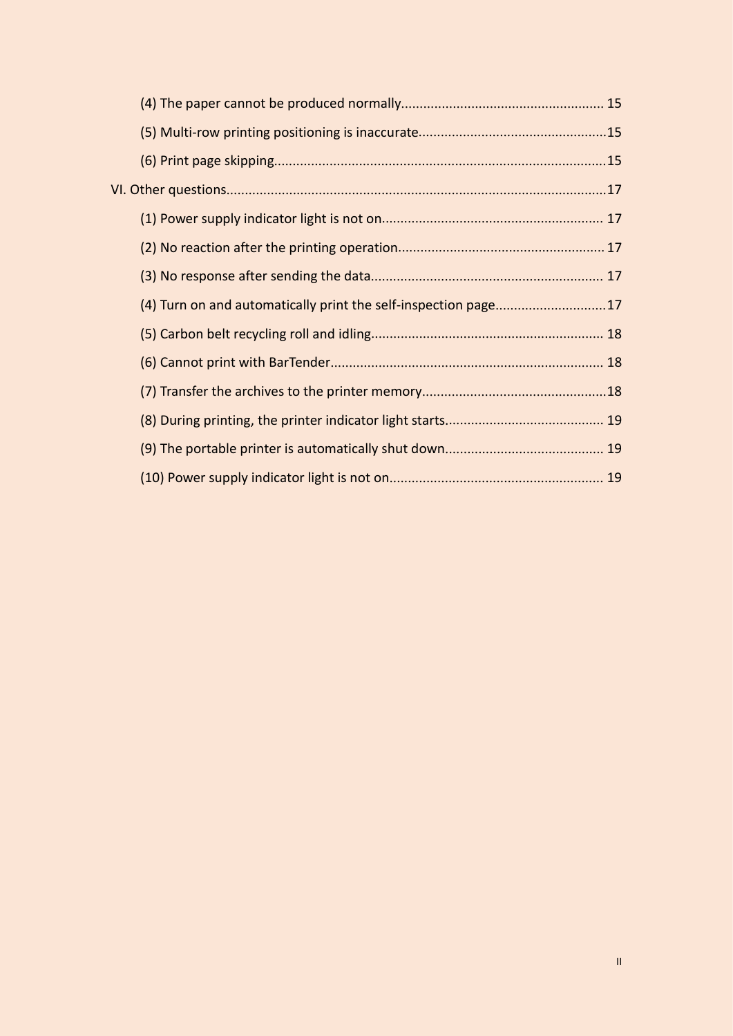|  | (4) Turn on and automatically print the self-inspection page17 |  |
|--|----------------------------------------------------------------|--|
|  |                                                                |  |
|  |                                                                |  |
|  |                                                                |  |
|  |                                                                |  |
|  |                                                                |  |
|  |                                                                |  |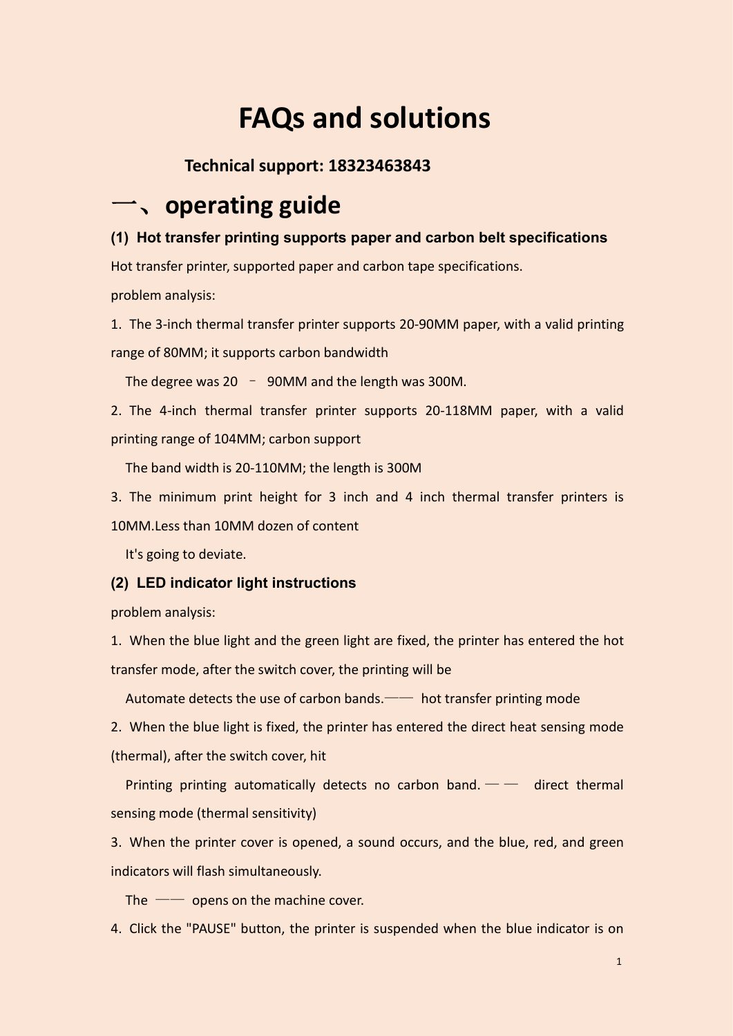# <span id="page-2-0"></span>**FAQs and solutions**

# <span id="page-2-1"></span>**Technical support: 18323463843**

# 一、**operating guide**

## <span id="page-2-2"></span>**(1) Hot transfer printing supports paper and carbon belt specifications**

Hot transfer printer, supported paper and carbon tape specifications.

problem analysis:

1. The 3-inch thermal transfer printer supports 20-90MM paper, with a valid printing range of 80MM; it supports carbon bandwidth

The degree was  $20 - 90$ MM and the length was 300M.

2. The 4-inch thermal transfer printer supports 20-118MM paper, with a valid printing range of 104MM; carbon support

The band width is 20-110MM; the length is 300M

3. The minimum print height for 3 inch and 4 inch thermal transfer printers is 10MM.Less than 10MM dozen of content

<span id="page-2-3"></span>It's going to deviate.

## **(2) LED indicator light instructions**

problem analysis:

1. When the blue light and the green light are fixed, the printer has entered the hot transfer mode, after the switch cover, the printing will be

Automate detects the use of carbon bands.—— hot transfer printing mode

2. When the blue light is fixed, the printer has entered the direct heat sensing mode (thermal), after the switch cover, hit

Printing printing automatically detects no carbon band.  $\frac{1}{1}$  direct thermal sensing mode (thermal sensitivity)

3. When the printer cover is opened, a sound occurs, and the blue, red, and green indicators will flash simultaneously.

The  $\sim$  opens on the machine cover.

4. Click the "PAUSE" button, the printer is suspended when the blue indicator is on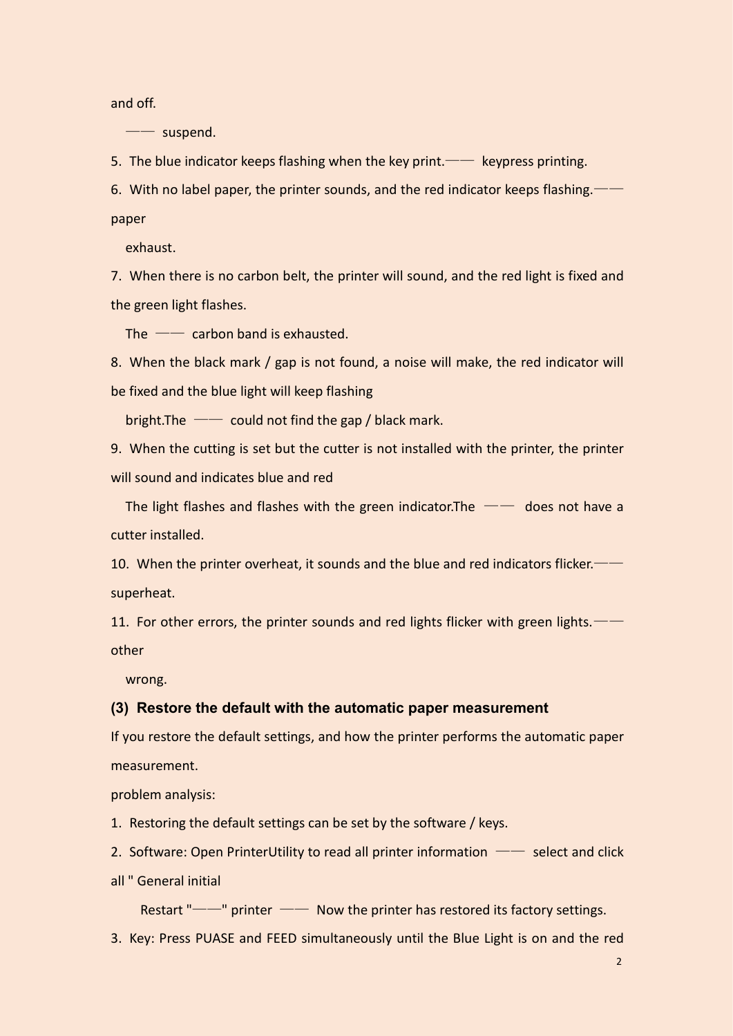and off.

—— suspend.

5. The blue indicator keeps flashing when the key print.—— keypress printing.

6. With no label paper, the printer sounds, and the red indicator keeps flashing.——

paper

exhaust.

7. When there is no carbon belt, the printer will sound, and the red light is fixed and the green light flashes.

The  $\sim$  carbon band is exhausted.

8. When the black mark / gap is not found, a noise will make, the red indicator will be fixed and the blue light will keep flashing

bright. The  $\sim$  could not find the gap / black mark.

9. When the cutting is set but the cutter is not installed with the printer, the printer will sound and indicates blue and red

The light flashes and flashes with the green indicator. The  $-\doteq$  does not have a cutter installed.

10. When the printer overheat, it sounds and the blue and red indicators flicker. superheat.

11. For other errors, the printer sounds and red lights flicker with green lights.— other

<span id="page-3-0"></span>wrong.

#### **(3) Restore the default with the automatic paper measurement**

If you restore the default settings, and how the printer performs the automatic paper measurement.

problem analysis:

1. Restoring the default settings can be set by the software / keys.

2. Software: Open PrinterUtility to read all printer information  $-\text{select}$  and click

all " General initial

Restart "——" printer —— Now the printer has restored its factory settings.

3. Key: Press PUASE and FEED simultaneously until the Blue Light is on and the red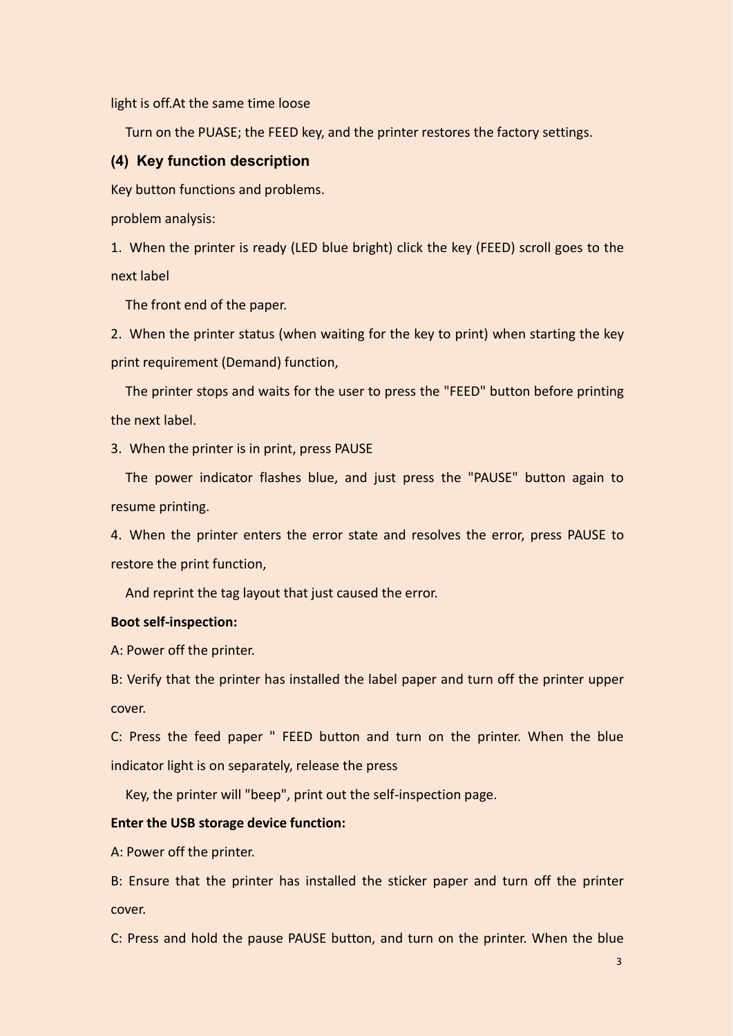light is off.At the same time loose

<span id="page-4-0"></span>Turn on the PUASE; the FEED key, and the printer restores the factory settings.

#### **(4) Key function description**

Key button functions and problems.

problem analysis:

1. When the printer is ready (LED blue bright) click the key (FEED) scroll goes to the next label

The front end of the paper.

2. When the printer status (when waiting for the key to print) when starting the key print requirement (Demand) function,

The printer stops and waits for the user to press the "FEED" button before printing the next label.

3. When the printer is in print, press PAUSE

The power indicator flashes blue, and just press the "PAUSE" button again to resume printing.

4. When the printer enters the error state and resolves the error, press PAUSE to restore the print function,

And reprint the tag layout that just caused the error.

#### **Boot self-inspection:**

A: Power off the printer.

B: Verify that the printer has installed the label paper and turn off the printer upper cover.

C: Press the feed paper " FEED button and turn on the printer. When the blue indicator light is on separately, release the press

Key, the printer will "beep", print out the self-inspection page.

#### **Enter the USB storage device function:**

A: Power off the printer.

B: Ensure that the printer has installed the sticker paper and turn off the printer cover.

C: Press and hold the pause PAUSE button, and turn on the printer. When the blue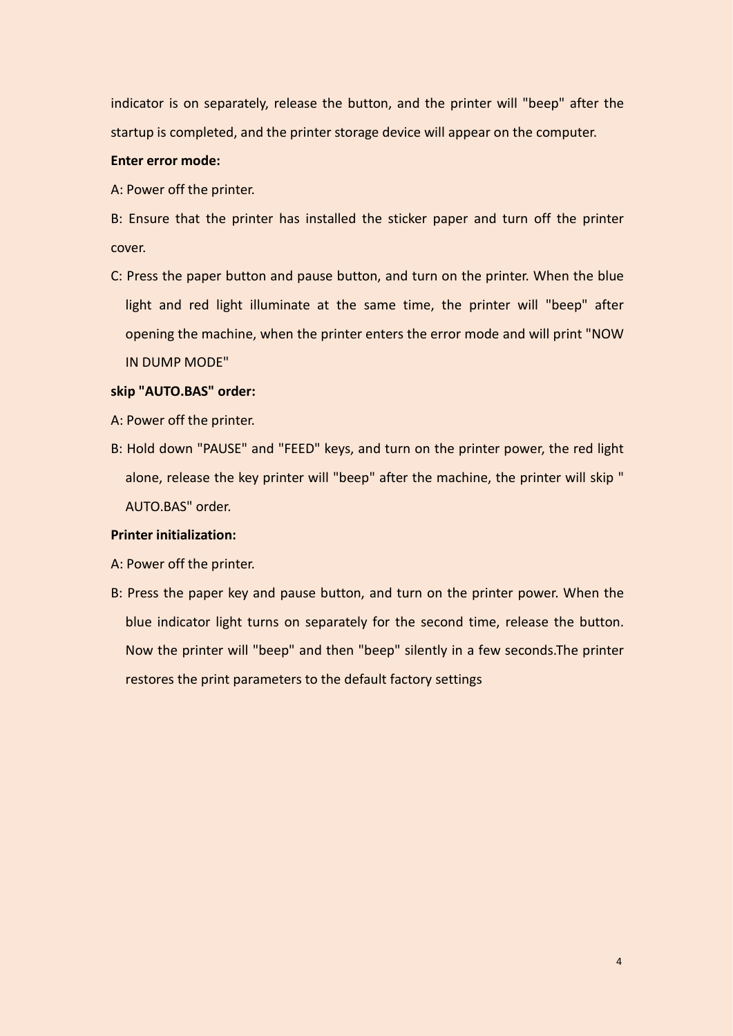indicator is on separately, release the button, and the printer will "beep" after the startup is completed, and the printer storage device will appear on the computer.

#### **Enter error mode:**

A: Power off the printer.

B: Ensure that the printer has installed the sticker paper and turn off the printer cover.

C: Press the paper button and pause button, and turn on the printer. When the blue light and red light illuminate at the same time, the printer will "beep" after opening the machine, when the printer enters the error mode and will print "NOW IN DUMP MODE"

#### **skip "AUTO.BAS" order:**

- A: Power off the printer.
- B: Hold down "PAUSE" and "FEED" keys, and turn on the printer power, the red light alone, release the key printer will "beep" after the machine, the printer will skip " AUTO.BAS" order.

#### **Printer initialization:**

- A: Power off the printer.
- B: Press the paper key and pause button, and turn on the printer power. When the blue indicator light turns on separately for the second time, release the button. Now the printer will "beep" and then "beep" silently in a few seconds.The printer restores the print parameters to the default factory settings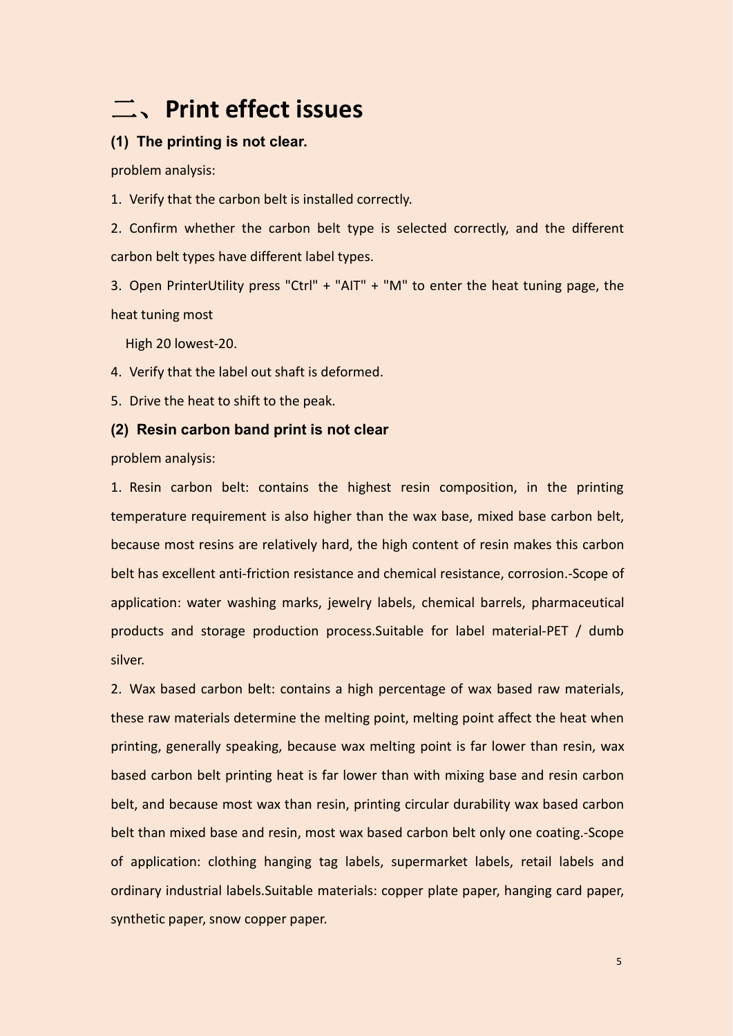# <span id="page-6-0"></span>二、**Print effect issues**

## <span id="page-6-1"></span>**(1) The printing is not clear.**

problem analysis:

1. Verify that the carbon belt is installed correctly.

2. Confirm whether the carbon belt type is selected correctly, and the different carbon belt types have different label types.

3. Open PrinterUtility press "Ctrl" + "AIT" + "M" to enter the heat tuning page, the heat tuning most

High 20 lowest-20.

4. Verify that the label out shaft is deformed.

5. Drive the heat to shift to the peak.

#### <span id="page-6-2"></span>**(2) Resin carbon band print is not clear**

problem analysis:

1. Resin carbon belt: contains the highest resin composition, in the printing temperature requirement is also higher than the wax base, mixed base carbon belt, because most resins are relatively hard, the high content of resin makes this carbon belt has excellent anti-friction resistance and chemical resistance, corrosion.-Scope of application: water washing marks, jewelry labels, chemical barrels, pharmaceutical products and storage production process.Suitable for label material-PET / dumb silver.

2. Wax based carbon belt: contains a high percentage of wax based raw materials, these raw materials determine the melting point, melting point affect the heat when printing, generally speaking, because wax melting point is far lower than resin, wax based carbon belt printing heat is far lower than with mixing base and resin carbon belt, and because most wax than resin, printing circular durability wax based carbon belt than mixed base and resin, most wax based carbon belt only one coating.-Scope of application: clothing hanging tag labels, supermarket labels, retail labels and ordinary industrial labels.Suitable materials: copper plate paper, hanging card paper, synthetic paper, snow copper paper.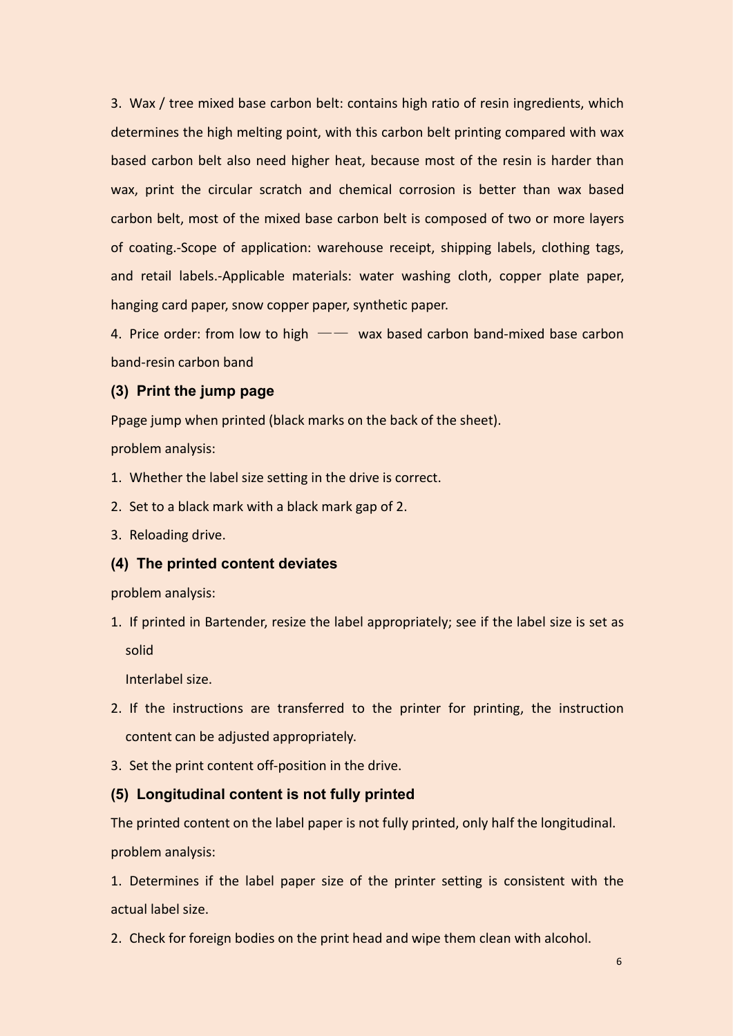3. Wax / tree mixed base carbon belt: contains high ratio of resin ingredients, which determines the high melting point, with this carbon belt printing compared with wax based carbon belt also need higher heat, because most of the resin is harder than wax, print the circular scratch and chemical corrosion is better than wax based carbon belt, most of the mixed base carbon belt is composed of two or more layers of coating.-Scope of application: warehouse receipt, shipping labels, clothing tags, and retail labels.-Applicable materials: water washing cloth, copper plate paper, hanging card paper, snow copper paper, synthetic paper.

4. Price order: from low to high  $--$  wax based carbon band-mixed base carbon band-resin carbon band

## <span id="page-7-0"></span>**(3) Print the jump page**

Ppage jump when printed (black marks on the back of the sheet).

problem analysis:

- 1. Whether the label size setting in the drive is correct.
- 2. Set to a black mark with a black mark gap of 2.
- 3. Reloading drive.

#### <span id="page-7-1"></span>**(4) The printed content deviates**

problem analysis:

1. If printed in Bartender, resize the label appropriately; see if the label size is set as solid

Interlabel size.

- 2. If the instructions are transferred to the printer for printing, the instruction content can be adjusted appropriately.
- 3. Set the print content off-position in the drive.

#### <span id="page-7-2"></span>**(5) Longitudinal content is not fully printed**

The printed content on the label paper is not fully printed, only half the longitudinal. problem analysis:

1. Determines if the label paper size of the printer setting is consistent with the actual label size.

2. Check for foreign bodies on the print head and wipe them clean with alcohol.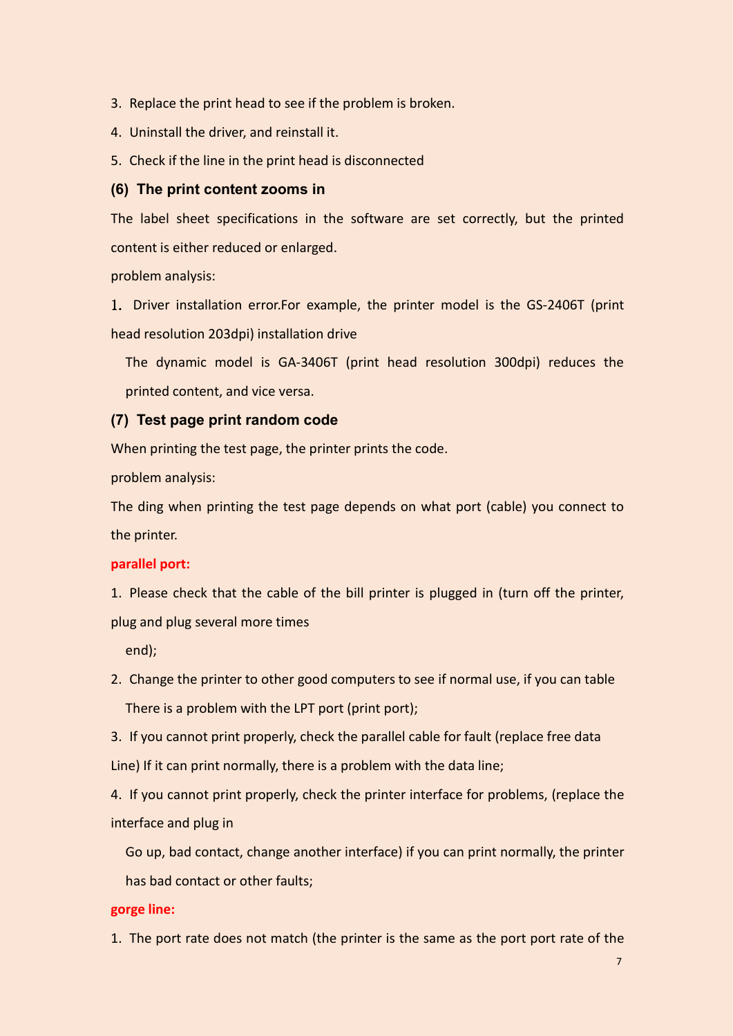- 3. Replace the print head to see if the problem is broken.
- 4. Uninstall the driver, and reinstall it.
- 5. Check if the line in the print head is disconnected

## <span id="page-8-0"></span>**(6) The print content zooms in**

The label sheet specifications in the software are set correctly, but the printed content is either reduced or enlarged.

problem analysis:

1. Driver installation error.For example, the printer model is the GS-2406T (print head resolution 203dpi) installation drive

The dynamic model is GA-3406T (print head resolution 300dpi) reduces the printed content, and vice versa.

## <span id="page-8-1"></span>**(7) Test page print random code**

When printing the test page, the printer prints the code.

problem analysis:

The ding when printing the test page depends on what port (cable) you connect to the printer.

## **parallel port:**

1. Please check that the cable of the bill printer is plugged in (turn off the printer, plug and plug several more times

end);

2. Change the printer to other good computers to see if normal use, if you can table There is a problem with the LPT port (print port);

3. If you cannot print properly, check the parallel cable for fault (replace free data Line) If it can print normally, there is a problem with the data line;

4. If you cannot print properly, check the printer interface for problems, (replace the interface and plug in

Go up, bad contact, change another interface) if you can print normally, the printer has bad contact or other faults;

## **gorge line:**

1. The port rate does not match (the printer is the same as the port port rate of the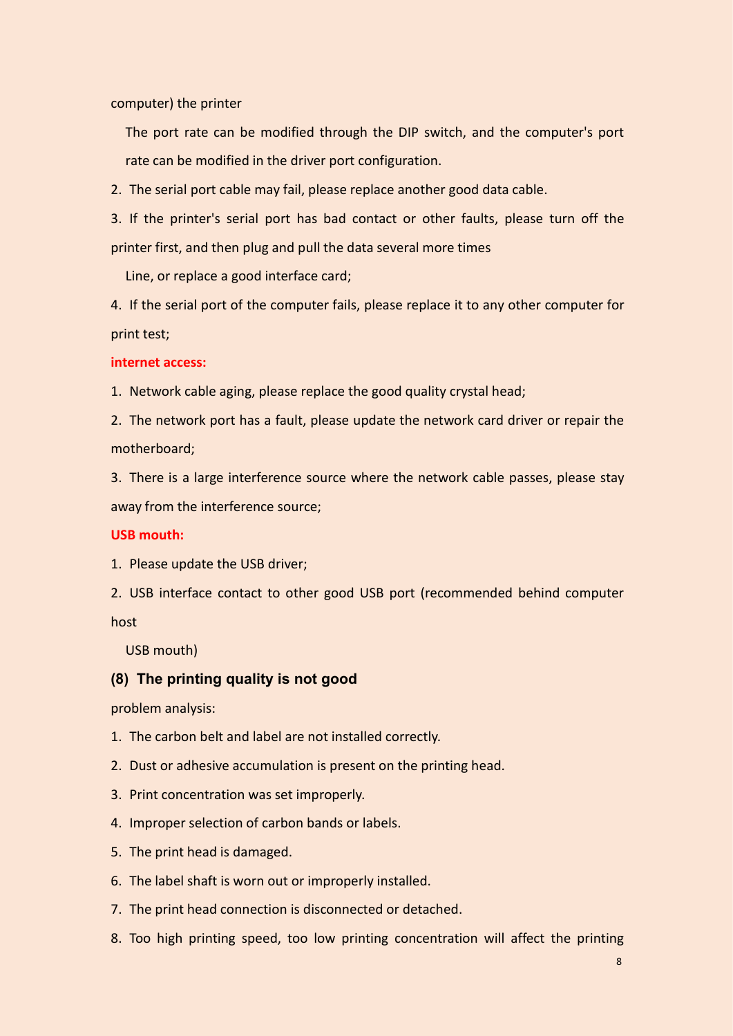computer) the printer

The port rate can be modified through the DIP switch, and the computer's port rate can be modified in the driver port configuration.

2. The serial port cable may fail, please replace another good data cable.

3. If the printer's serial port has bad contact or other faults, please turn off the printer first, and then plug and pull the data several more times

Line, or replace a good interface card;

4. If the serial port of the computer fails, please replace it to any other computer for print test;

**internet access:**

1. Network cable aging, please replace the good quality crystal head;

2. The network port has a fault, please update the network card driver or repair the motherboard;

3. There is a large interference source where the network cable passes, please stay away from the interference source;

#### **USB mouth:**

1. Please update the USB driver;

2. USB interface contact to other good USB port (recommended behind computer host

<span id="page-9-0"></span>USB mouth)

### **(8) The printing quality is not good**

problem analysis:

1. The carbon belt and label are not installed correctly.

- 2. Dust or adhesive accumulation is present on the printing head.
- 3. Print concentration was set improperly.
- 4. Improper selection of carbon bands or labels.
- 5. The print head is damaged.
- 6. The label shaft is worn out or improperly installed.
- 7. The print head connection is disconnected or detached.
- 8. Too high printing speed, too low printing concentration will affect the printing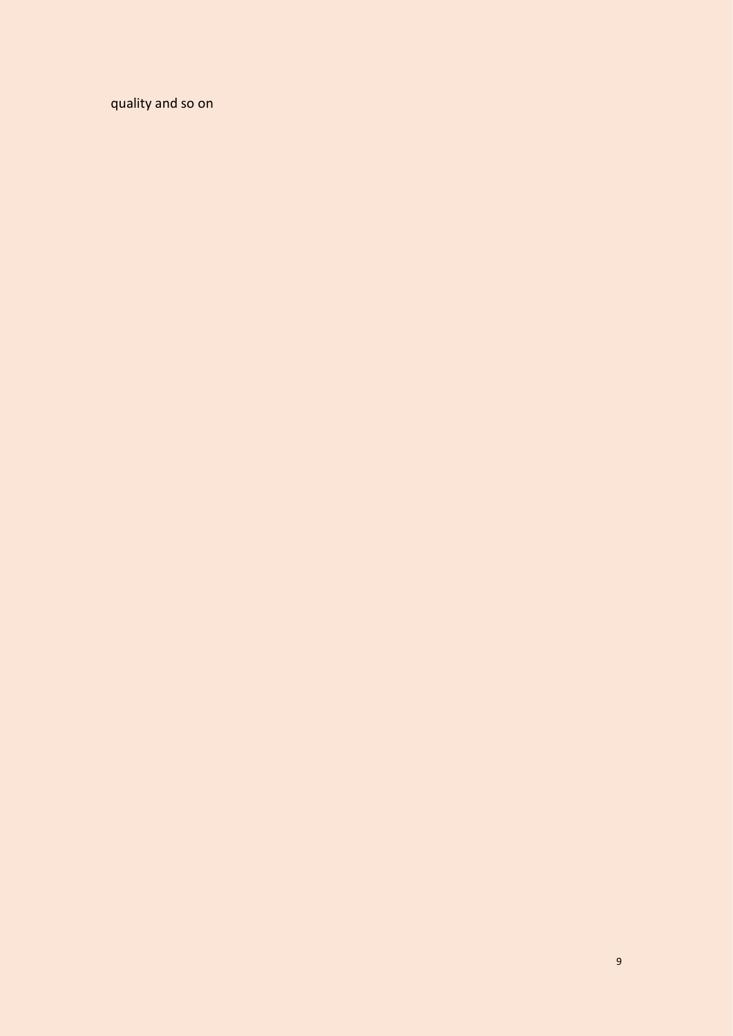quality and so on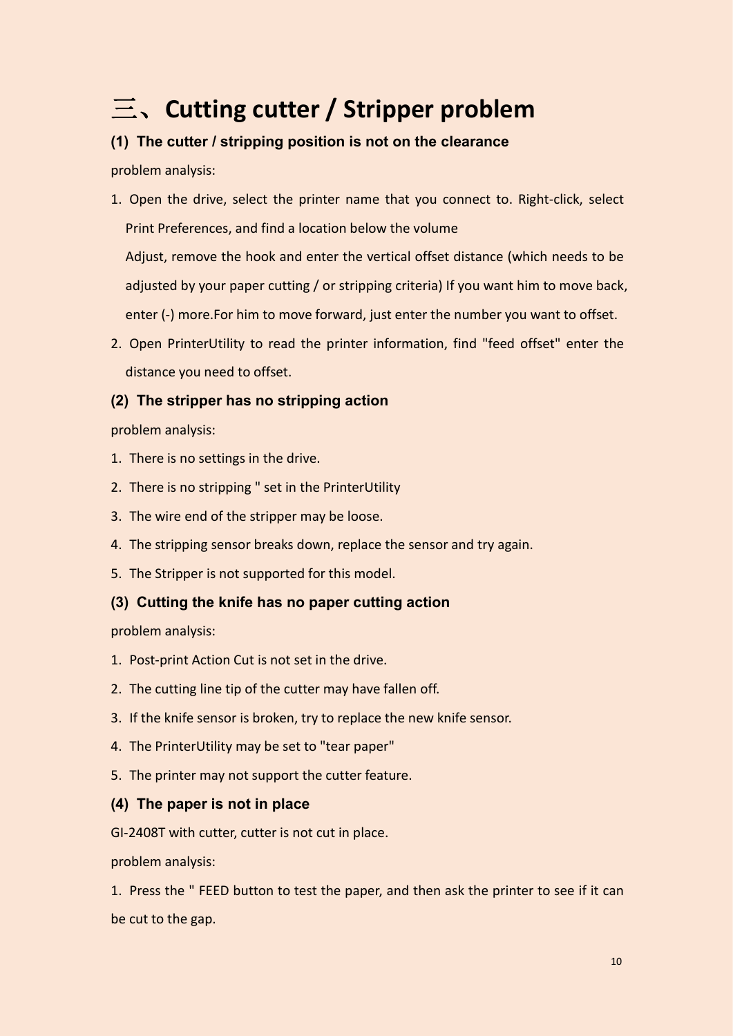# <span id="page-11-0"></span>三、**Cutting cutter / Stripper problem**

# <span id="page-11-1"></span>**(1) The cutter / stripping position is not on the clearance**

problem analysis:

- 1. Open the drive, select the printer name that you connect to, Right-click, select Print Preferences, and find a location below the volume Adjust, remove the hook and enter the vertical offset distance (which needs to be adjusted by your paper cutting / or stripping criteria) If you want him to move back, enter (-) more.For him to move forward, just enter the number you want to offset.
- 2. Open PrinterUtility to read the printer information, find "feed offset" enter the distance you need to offset.

# <span id="page-11-2"></span>**(2) The stripper has no stripping action**

problem analysis:

- 1. There is no settings in the drive.
- 2. There is no stripping " set in the PrinterUtility
- 3. The wire end of the stripper may be loose.
- 4. The stripping sensor breaks down, replace the sensor and try again.
- 5. The Stripper is not supported for this model.

## <span id="page-11-3"></span>**(3) Cutting the knife has no paper cutting action**

problem analysis:

- 1. Post-print Action Cut is not set in the drive.
- 2. The cutting line tip of the cutter may have fallen off.
- 3. If the knife sensor is broken, try to replace the new knife sensor.
- 4. The PrinterUtility may be set to "tear paper"
- 5. The printer may not support the cutter feature.

## <span id="page-11-4"></span>**(4) The paper is not in place**

GI-2408T with cutter, cutter is not cut in place.

problem analysis:

1. Press the " FEED button to test the paper, and then ask the printer to see if it can be cut to the gap.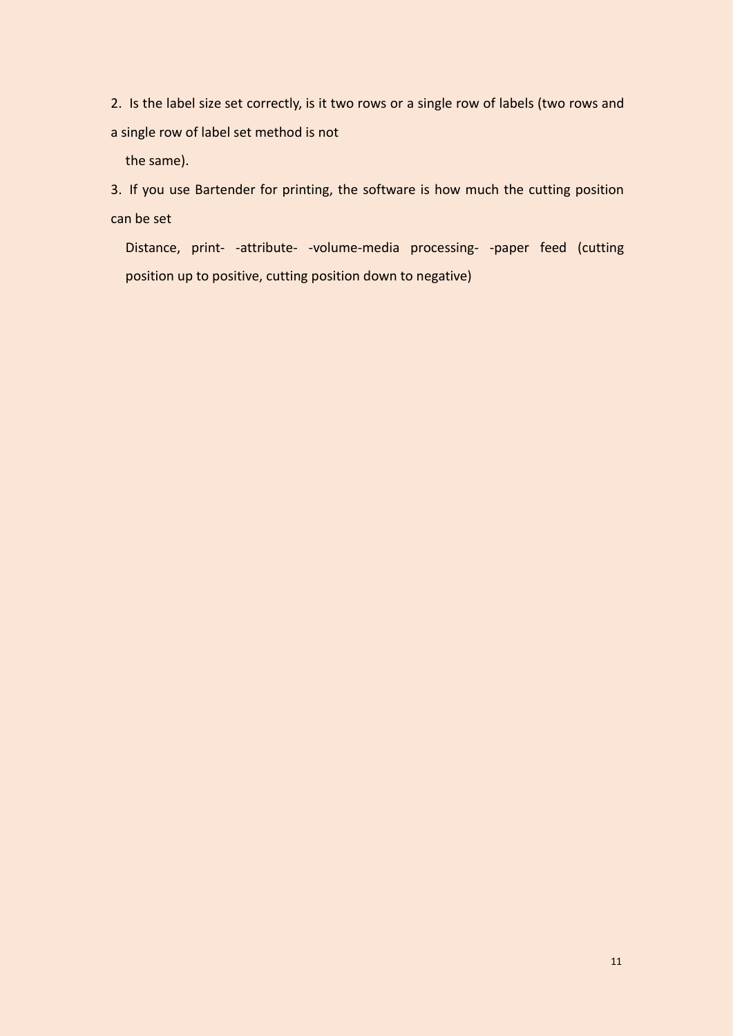2. Is the label size set correctly, is it two rows or a single row of labels (two rows and a single row of label set method is not

the same).

3. If you use Bartender for printing, the software is how much the cutting position can be set

Distance, print- -attribute- -volume-media processing- -paper feed (cutting position up to positive, cutting position down to negative)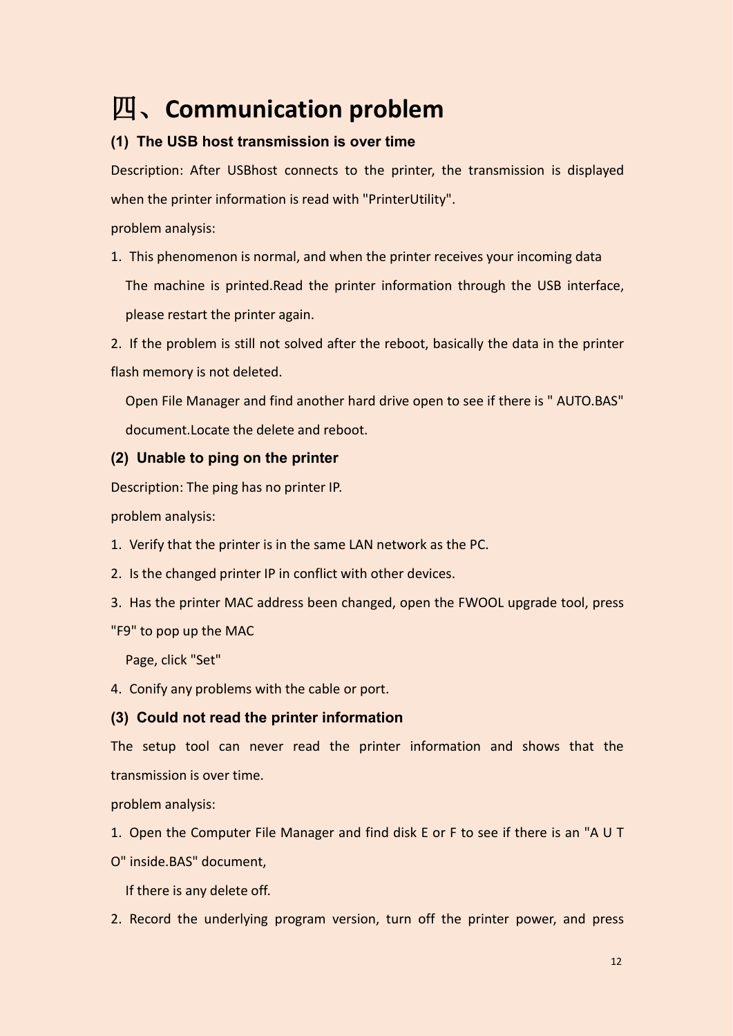# <span id="page-13-0"></span>四、**Communication problem**

# <span id="page-13-1"></span>**(1) The USB host transmission is over time**

Description: After USBhost connects to the printer, the transmission is displayed when the printer information is read with "PrinterUtility".

problem analysis:

1. This phenomenon is normal, and when the printer receives your incoming data The machine is printed.Read the printer information through the USB interface, please restart the printer again.

2. If the problem is still not solved after the reboot, basically the data in the printer flash memory is not deleted.

Open File Manager and find another hard drive open to see if there is " AUTO.BAS" document.Locate the delete and reboot.

# <span id="page-13-2"></span>**(2) Unable to ping on the printer**

Description: The ping has no printer IP.

problem analysis:

- 1. Verify that the printer is in the same LAN network as the PC.
- 2. Is the changed printer IP in conflict with other devices.
- 3. Has the printer MAC address been changed, open the FWOOL upgrade tool, press

"F9" to pop up the MAC

Page, click "Set"

4. Conify any problems with the cable or port.

# <span id="page-13-3"></span>**(3) Could not read the printer information**

The setup tool can never read the printer information and shows that the transmission is over time.<br>problem analysis:

- 1. Open the Computer File Manager and find disk E or F to see if there is an "A U T
- O" inside.BAS" document,

If there is any delete off.

2. Record the underlying program version, turn off the printer power, and press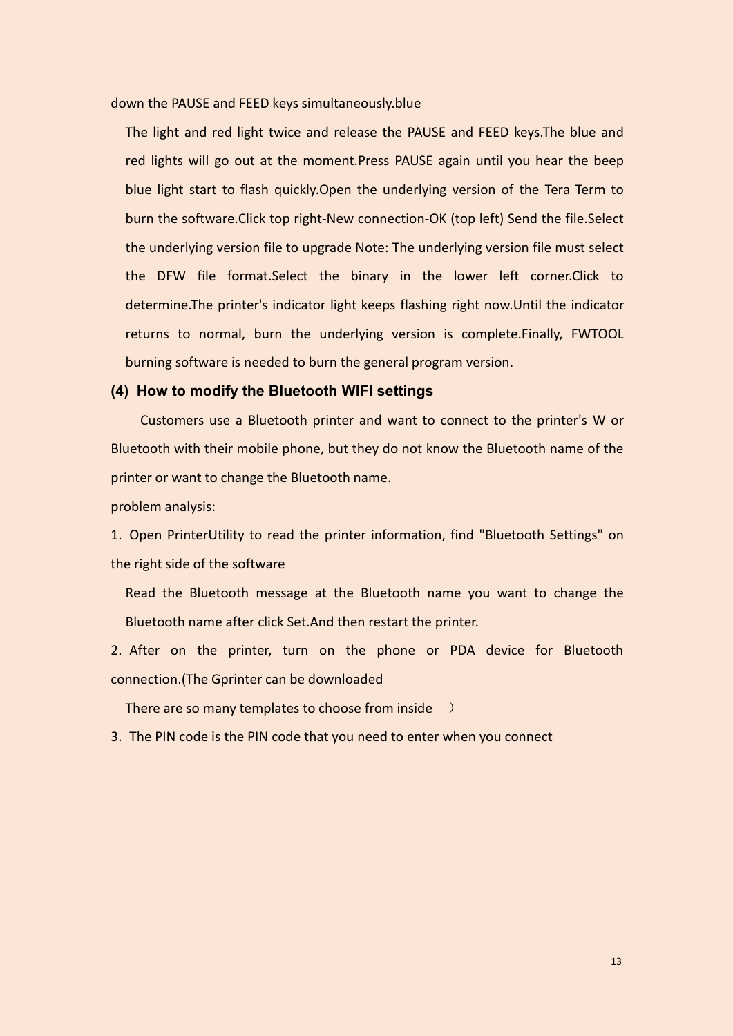down the PAUSE and FEED keys simultaneously.blue

The light and red light twice and release the PAUSE and FEED keys.The blue and red lights will go out at the moment.Press PAUSE again until you hear the beep blue light start to flash quickly.Open the underlying version of the Tera Term to burn the software.Click top right-New connection-OK (top left) Send the file.Select the underlying version file to upgrade Note: The underlying version file must select the DFW file format.Select the binary in the lower left corner.Click to determine.The printer's indicator light keeps flashing right now.Until the indicator returns to normal, burn the underlying version is complete.Finally, FWTOOL burning software is needed to burn the general program version.

#### <span id="page-14-0"></span>**(4) How to modify the Bluetooth WIFI settings**

Customers use a Bluetooth printer and want to connect to the printer's W or Bluetooth with their mobile phone, but they do not know the Bluetooth name of the printer or want to change the Bluetooth name.

problem analysis:

1. Open PrinterUtility to read the printer information, find "Bluetooth Settings" on the right side of the software

Read the Bluetooth message at the Bluetooth name you want to change the Bluetooth name after click Set.And then restart the printer.

2. After on the printer, turn on the phone or PDA device for Bluetooth connection.(The Gprinter can be downloaded

There are so many templates to choose from inside  $\rightarrow$ 

3. The PIN code is the PIN code that you need to enter when you connect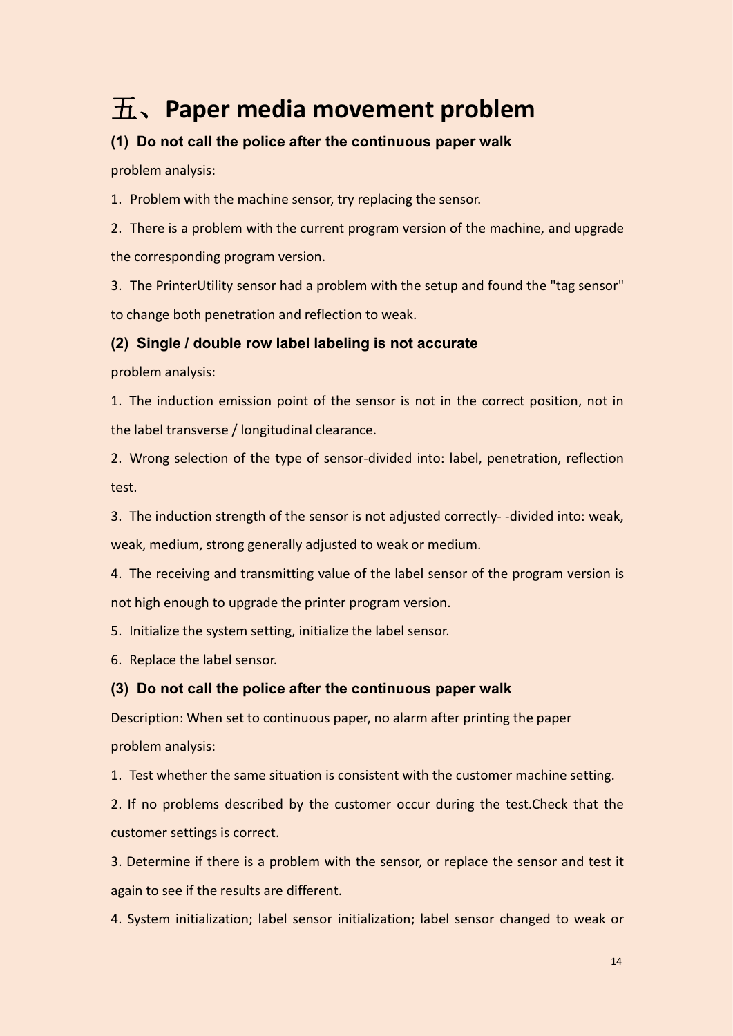# <span id="page-15-0"></span>五、**Paper media movement problem**

# <span id="page-15-1"></span>**(1) Do not call the police after the continuous paper walk**

problem analysis:

1. Problem with the machine sensor, try replacing the sensor.

2. There is a problem with the current program version of the machine, and upgrade the corresponding program version.

3. The PrinterUtility sensor had a problem with the setup and found the "tag sensor" to change both penetration and reflection to weak.

## <span id="page-15-2"></span>**(2) Single / double row label labeling is not accurate**

problem analysis:

1. The induction emission point of the sensor is not in the correct position, not in the label transverse / longitudinal clearance.

2. Wrong selection of the type of sensor-divided into: label, penetration, reflection test.

3. The induction strength of the sensor is not adjusted correctly- -divided into: weak, weak, medium, strong generally adjusted to weak or medium.

4. The receiving and transmitting value of the label sensor of the program version is not high enough to upgrade the printer program version.

5. Initialize the system setting, initialize the label sensor.

6. Replace the label sensor.

## <span id="page-15-3"></span>**(3) Do not call the police after the continuous paper walk**

Description: When set to continuous paper, no alarm after printing the paper problem analysis:

1. Test whether the same situation is consistent with the customer machine setting.

2. If no problems described by the customer occur during the test. Check that the customer settings is correct.

3. Determine if there is a problem with the sensor, or replace the sensor and test it again to see if the results are different.

4. System initialization; label sensor initialization; label sensor changed to weak or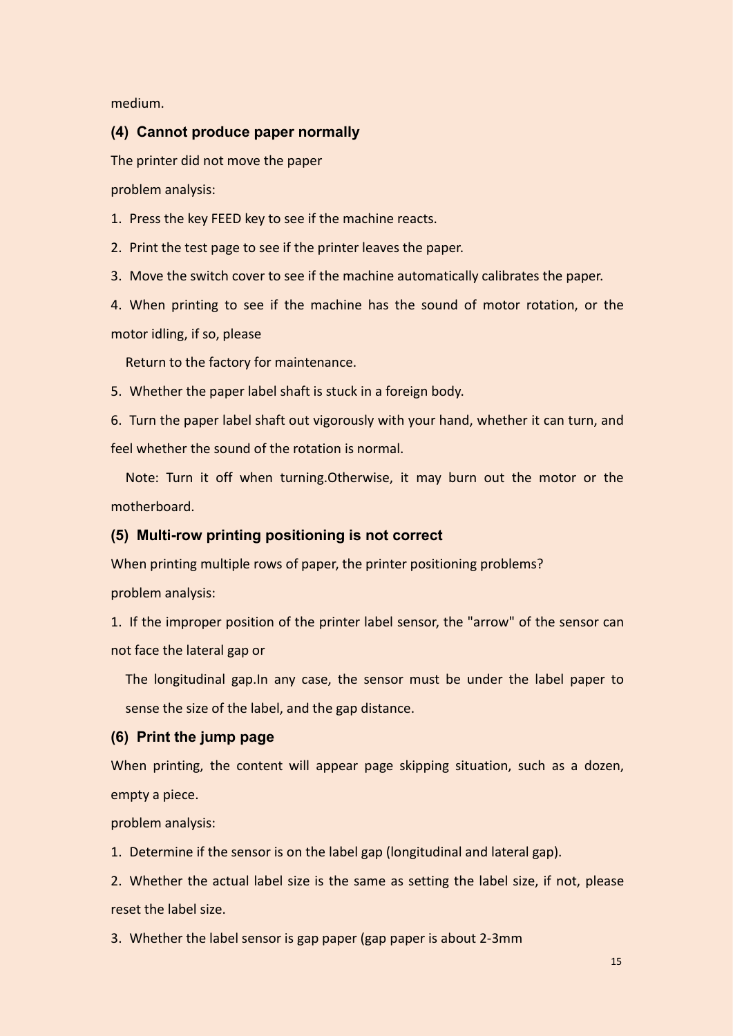medium.

## <span id="page-16-0"></span>**(4) Cannot produce paper normally**

The printer did not move the paper

problem analysis:

1. Press the key FEED key to see if the machine reacts.

2. Print the test page to see if the printer leaves the paper.

3. Move the switch cover to see if the machine automatically calibrates the paper.

4. When printing to see if the machine has the sound of motor rotation, or the motor idling, if so, please

Return to the factory for maintenance.

5. Whether the paper label shaft is stuck in a foreign body.

6. Turn the paper label shaft out vigorously with your hand, whether it can turn, and feel whether the sound of the rotation is normal.

Note: Turn it off when turning.Otherwise, it may burn out the motor or the motherboard.

## <span id="page-16-1"></span>**(5) Multi-row printing positioning is not correct**

When printing multiple rows of paper, the printer positioning problems? problem analysis:

1. If the improper position of the printer label sensor, the "arrow" of the sensor can not face the lateral gap or

The longitudinal gap. In any case, the sensor must be under the label paper to sense the size of the label, and the gap distance.

### <span id="page-16-2"></span>**(6) Print the jump page**

When printing, the content will appear page skipping situation, such as a dozen, empty a piece.

problem analysis:

1. Determine if the sensor is on the label gap (longitudinal and lateral gap).

2. Whether the actual label size is the same as setting the label size, if not, please reset the label size.

3. Whether the label sensor is gap paper (gap paper is about 2-3mm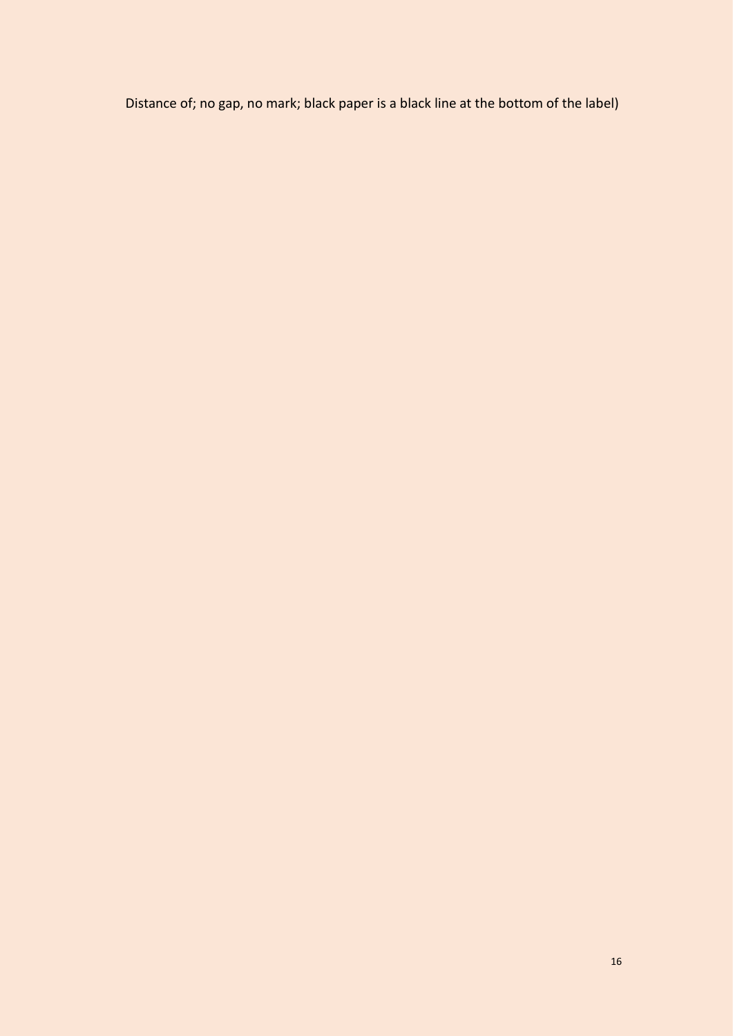Distance of; no gap, no mark; black paper is a black line at the bottom of the label)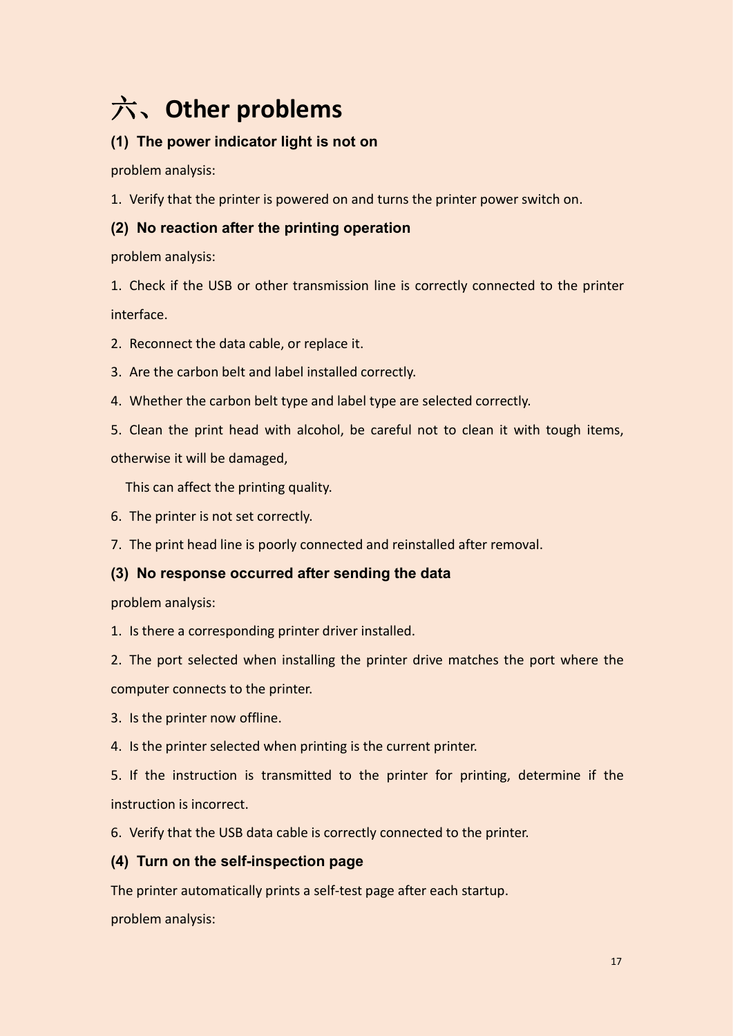# <span id="page-18-0"></span>六、**Other problems**

# <span id="page-18-1"></span>**(1) The power indicator light is not on**

problem analysis:

1. Verify that the printer is powered on and turns the printer power switch on.

# <span id="page-18-2"></span>**(2) No reaction after the printing operation**

problem analysis:

1. Check if the USB or other transmission line is correctly connected to the printer interface.

2. Reconnect the data cable, or replace it.

- 3. Are the carbon belt and label installed correctly.
- 4. Whether the carbon belt type and label type are selected correctly.
- 5. Clean the print head with alcohol, be careful not to clean it with tough items,

otherwise it will be damaged,

This can affect the printing quality.

6. The printer is not set correctly.

7. The print head line is poorly connected and reinstalled after removal.

## <span id="page-18-3"></span>**(3) No response occurred after sending the data**

problem analysis:

1. Is there a corresponding printer driver installed.

2. The port selected when installing the printer drive matches the port where the

computer connects to the printer.

- 3. Is the printer now offline.
- 4. Is the printer selected when printing is the current printer.

5. If the instruction is transmitted to the printer for printing, determine if the instruction is incorrect.

6. Verify that the USB data cable is correctly connected to the printer.

## <span id="page-18-4"></span>**(4) Turn on the self-inspection page**

The printer automatically prints a self-test page after each startup.

problem analysis: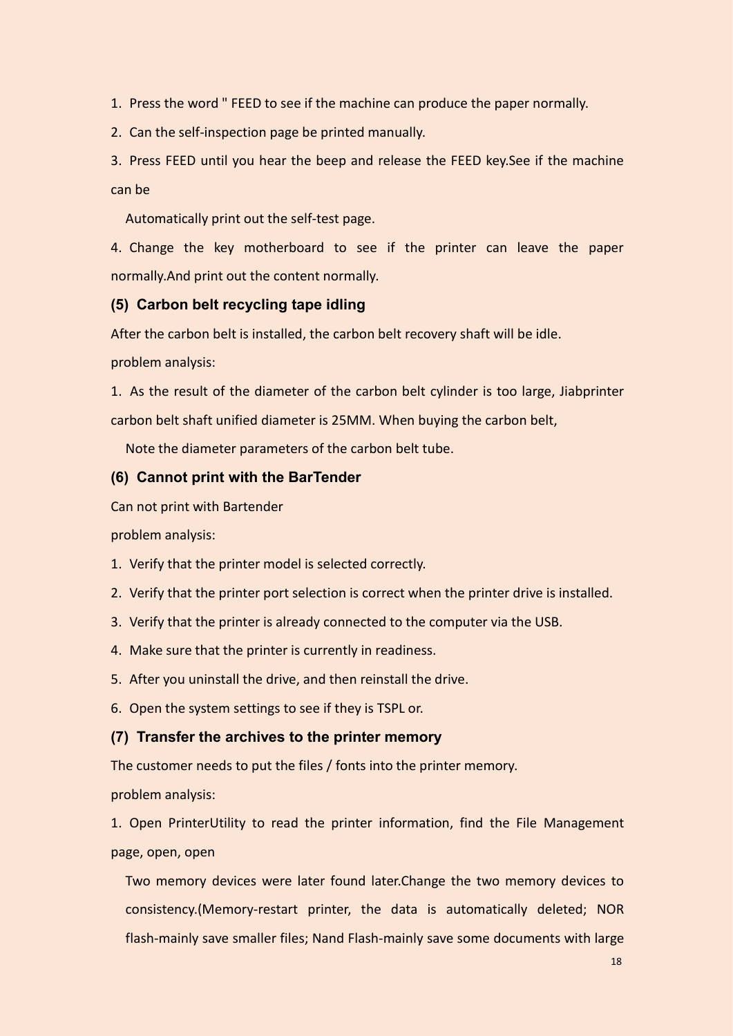1. Press the word " FEED to see if the machine can produce the paper normally.

2. Can the self-inspection page be printed manually.

3. Press FEED until you hear the beep and release the FEED key.See if the machine can be

Automatically print out the self-test page.

4. Change the key motherboard to see if the printer can leave the paper normally.And print out the content normally.

## <span id="page-19-0"></span>**(5) Carbon belt recycling tape idling**

After the carbon belt is installed, the carbon belt recovery shaft will be idle.

problem analysis:

1. As the result of the diameter of the carbon belt cylinder is too large, Jiabprinter carbon belt shaft unified diameter is 25MM. When buying the carbon belt,

<span id="page-19-1"></span>Note the diameter parameters of the carbon belt tube.

## **(6) Cannot print with the BarTender**

Can not print with Bartender

problem analysis:

- 1. Verify that the printer model is selected correctly.
- 2. Verify that the printer port selection is correct when the printer drive is installed.<br>3. Verify that the printer is already connected to the computer via the USB.
- 
- 4. Make sure that the printer is currently in readiness.
- 5. After you uninstall the drive, and then reinstall the drive.
- 6. Open the system settings to see if they is TSPL or.

## <span id="page-19-2"></span>**(7) Transfer the archives to the printer memory**

The customer needs to put the files / fonts into the printer memory.

problem analysis:

1. Open PrinterUtility to read the printer information, find the File Management page, open, open

Two memory devices were later found later.Change the two memory devices to consistency.(Memory-restart printer, the data is automatically deleted; NOR flash-mainly save smaller files; Nand Flash-mainly save some documents with large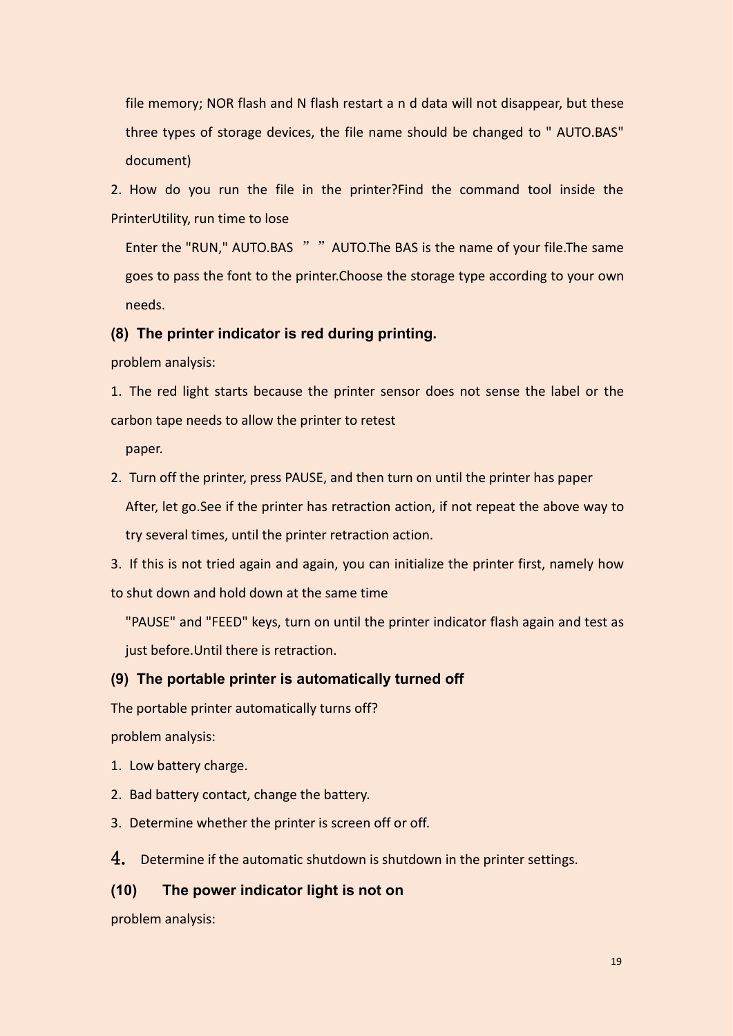file memory; NOR flash and N flash restart a n d data will not disappear, but these three types of storage devices, the file name should be changed to " AUTO.BAS" document)

2. How do you run the file in the printer?Find the command tool inside the PrinterUtility, run time to lose

Enter the "RUN," AUTO.BAS " "AUTO.The BAS is the name of your file.The same goes to pass the font to the printer.Choose the storage type according to your own needs.

#### <span id="page-20-0"></span>**(8) The printer indicator is red during printing.**

problem analysis:

1. The red light starts because the printer sensor does not sense the label or the carbon tape needs to allow the printer to retest

paper.

2. Turn off the printer, press PAUSE, and then turn on until the printer has paper After, let go.See if the printer has retraction action, if not repeat the above way to try several times, until the printer retraction action.

3. If this is not tried again and again, you can initialize the printer first, namely how to shut down and hold down at the same time

"PAUSE" and "FEED" keys, turn on until the printer indicator flash again and testas just before.Until there is retraction.

#### <span id="page-20-1"></span>**(9) The portable printer is automatically turned off**

The portable printer automatically turns off?

problem analysis:

- 1. Low battery charge.
- 2. Bad battery contact, change the battery.
- 3. Determine whether the printer is screen off or off.

4. Determine if the automatic shutdown is shutdown in the printer settings.

## <span id="page-20-2"></span>**(10) The power indicator light is not on**

problem analysis: